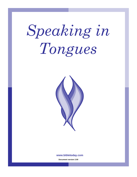# *Speaking in Tongues*



#### **www.bibletoday.com**

**Document version 2.00**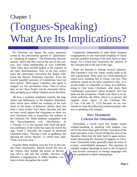#### Chapter 1

# (Tongues-Speaking) What Are Its Implications?

No Christian can ignore the many questions raised by the phenomenal growth of "glossolalia" or "speaking in tongues." The Pentecostal denominations, which had their start at the turn of this century, now claim membership of over 2,000,000. Their ranks have swelled largely at the expense of the other denominations. Now in the past twelve years the charismatic movement has deeply infiltrated the historic Protestant churches. Even the heavily guarded precincts of Catholicism have not been spared. "Born-again" Catholics who speak in tongues are not uncommon today. Then, of course, there are the "Jesus People" and the charismatic fellowships springing up on college campuses across the nation.

All have a common complaint, namely, the stagnation and hollowness of the mainline denominations which have stifled the working of the holy Spirit in the hearts of believers. Hence, there has been a mass exodus from these churches and also an inner revolt against the clergymen as these sincere Christians seek to experience the realities of the Christian life. Bible Students sympathize with this disenchantment over churchianity. In 2 Timothy 3:1-5, the Apostle Paul listed the perilous conditions in the world that mark the end of the Age. Verse 5 describes the masses of professed Christians today, "Having a form of godliness, but denying the power thereof," to which Paul adds, "from such turn away."

Actually Bible Students were the first in this exodus from churchianity. Shortly before the turn of the century they heeded the words of Revelation 18:1-4 and left the worldly churches of Babylon. Congregations of Bible Students continue to form throughout the world.

Completely independent of other Bible Students congregations or any man-made headship of Christ and the unstifled working of the holy Spirit in their hearts. As a result they experience the realities of the Christian life at the end of the Age.

There are hazards in fleeing clerical authority. The Christian's wily foe, Satan, stands ready to divert a good thing. There must be a final authority to which each, standing free in Christ, can turn. This authority cannot be an inner experience only, as it would render us vulnerable to Satan. It is disheartening to find some Christians who place their "charismatic experience" above Scripture. We trust these are the exceptions. Thank God, there is an absolute authority, the Bible, which is to govern and regulate every aspect of the Christian life. (2 Tim. 3:16 and 17; 2:15) Because we are concerned we raise the following Scriptural points relative to speaking with tongues.

#### **New Testament Criteria for Glossolalia**

Glossolalia, a Greek word that simply means tongues-speaking or speaking with tongues, was one of the miraculous gifts (Greek: charisma) of the spirit prevalent in the Church during the time of the Apostles. Many feel the holy Spirit is again miraculously bestowing the charisma of tongues on Christians. Glossolalia today generally takes the form of ecstatic, unintelligible utterances. The question of whether tongues-speaking as used in the Scriptures was ecstatic utterances or foreign languages will be considered in detail subsequently.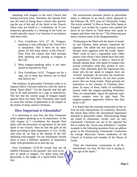Speaking with tongues in the early Church had limited practical value. Therefore, the Apostle Paul saw the need of laying down certain rules governing the use of this gift of the Spirit in the Church. These rules are found in 1 Corinthians 14. If contemporary glossolalia is a blessing of the Lord, we would naturally expect it to function in accordance with these rules.

- 1. First Corinthians 14:5, 27, 28. Tonguesspeaking is only edifying in the Church if it is interpreted. "But if there be no interpreter, let him keep silence in the Church." Note from the context that Paul includes both speaking and praying in tongues in this rule.
- 2. Most tongues-speaking today is not interpreted as enjoined by Paul.
- 3. First Corinthians 14:22. "Tongues are for a sign, not to them that believe, but to them that believe not."

The tendency of glossolalia Christians today is to impress fellow Christian believers with the need to being "Spirit-filled." Yet the Apostle said this gift was to be used primarily as a sign to unbelievers. The fact that the current usage of tongues largely ignores these two basic New Testament rules tends to cause this version of glossolalia to be suspect in the minds of many sincere Christians.

#### **How Important is Glossolalia?**

It is interesting to note how the New Testament ranks tongues-speaking as to its importance. In the 12th chapter of 1 Corinthians the Apostle Paul deals with the diversities of operations of the holy Spirit in the Church. Then he lists the gifts of the Spirit according to their importance. (1 Cor. 12:28). And what do we find at the bottom of the list? Speaking with tongues! Yet our charismatic friends seem to have a different sequence of importance today with glossolalia on or near the top.

First Corinthians 12:29-30 reveals that not all faithful Christians in the apostles' day were to expect to speak in tongues. Yet today many feel glossolalia is the badge of a Spirit-filled Christian.

The unwarranted premium placed on glossolalia today is reflected in an article which appeared in the February 28, 1975 issue of Christianity Today. The article entitled "A Plea to Some Who Speak in Tongues" was written by a pastor who opened the doors of his church to "both those who speak in tongues and those who do not." The following quotation contains some of his disappointments:

"Professing to be filled with the Spirit of humility and holiness, these persons expressed the opposite. The subtle but real spiritual conceit became more apparent until the words 'Spiritfilled' came to have a regrettable taint. Other pastors with whom I have talked have had similar experiences. There is often a 'know-it-all' attitude among those who speak in tongues that exactly contradicts what they protess in testimony. They definitely give the impression that those who do not speak in tongues have not 'arrived' spiritually, do not have the sensitivity to interpret the Scriptures, do not have prayer power that can bring results. These persons are insensitive to the concept of Christian discipline. In many of them, habits of worldliness remain while the tongues-speaking flourishes. They are unteachable. Again the spiritual superiority complex rears its ugly head. The tongues-speakers apparently believe that they know it all."

It is hoped that the extremes mentioned in this article are only characteristic of a minority. However, the article does reflect the unscriptural importance attached to glossolalia today. Disconcerting things are heard in charismatic circles, such as; noncharismatic Christians are not to be raptured but left to endure the "seven-year tribulation." Another example is the following quotation from an address given at the Presbyterian Charismatic Conference by George MacLeod, former moderator of the Church of Scotland and member of the House of Lords.

"Only the charismatic communion in all denominations can hear all that God is saying in this age of the Spirit."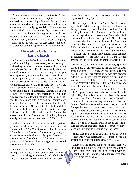Again this may be the view of a minority. Nevertheless, these extremes are symptomatic of the charged atmosphere of partisanship in the Pentecostal and neo-Pentecostal movements indicating a consensus that only glossolalic Christians are "Spirit-filled." An unwillingness by charismatics to accept that speaking with tongues was the lowest operation of the Spirit in the Church (1 Cor. 12:28) and that non-glossolalic Christians can be equally "Spirit-filled" (1 Cor. 12:30) cast serious doubt on this practice being an operation of the holy Spirit.

#### **Miraculous Gifts in the Early Church**

In 1 Corinthians 12-14, Paul uses the term "spiritual gifts" in describing the miraculous gifts such as tongues and healing. A revealing statement concerning the purpose of these "spiritual gifts" is also made by the Apostle Paul in Romans 1:11, "That I may impart unto you some spiritual gift, to the end ye may be established." Note the phrase "ye may be established." Remember the New Testament had not yet been given. Evidently the miraculous gifts of the Spirit were necessary at the critical juncture to establish the faith of the Church until the Bible had been completed. Further, the Church of Christ as a completely new operation in the plan of God required more tangible manifestations of its validity. The miraculous gifts provided this confirmatory evidence for the Church at its inception. But the gifts became superfluous (1 Cor. 13:8) after the Church had been established and the canon of the inspired writings had been completed. The Scriptures, the Apostle declares, are sufficient, "that the man of God may be thoroughly furnished unto all good works." 2 Tim. 3:17

A distinction must be made between the spiritual gifts and the gift of the holy Spirit promised to all believers in Acts 2:38. The Greek word for gift in Acts 2:38 is Dorea not Charisma. Dorea is any gratuity, but Charisma, when related to the holy Spirit, denotes a miraculous power. Therefore, Acts 2:38 cannot be used to prove that all believers down through the age would receive miraculous gifts.

It is interesting to note how the gifts (Greek - charisma) were initiated in the Church and how they were to cease. The gifts were conferred only by the apostles; however, there were two notable exceptions. These two exceptions occurred at the time of the baptism of the holy Spirit.

The one baptism of the holy Spirit (Acts 1:5) came upon the Church in two steps - both of which were indelibly marked by the miraculous manifestation of speaking in tongues. The first was on the Day of Pentecost, ten days after Jesus' ascension. The waiting disciples were baptized with the holy Spirit. How did they or anyone else know this nucleus of the Church r eceived the holy Spirit? This significant event was i ndelibly marked in history by the phenomenon of tongues which accompanied the receiving of the Spirit. As a result, the Jews from many foreign lands gathered at Jerusalem for the holy days, heard the Gospel preached in their won language or tongue. Acts 2:1-11

The second step in the baptism of the holy Spirit occurred 3 and a half years later. It was the historic event of the first gentile, Cornelius, and his household coming into the Church. This notable event was also stamped indelibly for history with the miraculous speaking of tongues. (Acts 10:44-47) Acts 11:15 confirms that the Day of Pentecost outpouring of the holy Spirit, accompanied by tongues, only occurred again at the conve rsion of Cornelius. Acts 1:5, and Acts 11:16-17 are the only Scriptures that mention the baptism of the holy Spirit. They limit this baptism to the Day of Pentecost and the conversion of Cornelius. All other scriptural accounts of gifts reveal that they came not as a baptism from the Lord but now could only be conveyed through the Apostles. (Gal. 3:5; Acts 4:19-21, 29-31; Acts 19:1- 6) This is further confirmed by Rom. 1:11 At the writing of Paul's letter to the Romans none of the apostles had visited Rome. From Rom. 1:11 we find that the Church at Rome had not yet received spiritual gifts. This was one of the reasons Paul desired to visit them thus confirming that gifts could not com e by prayer alone but only through the ministry of the apostles.

Simon Magus, though given a miraculous gift by the Apostle Peter, was reprimanded for trying to but this apostolic power of conferring gifts. Acts 8:17-23

When did the exercising of these gifts cease? If the gifts could only be conveyed by the apostles, then when they died the gifts ceased with the death of those Christians who had received these gifts from the apostles.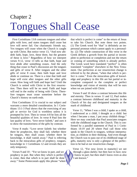### Chapter 2 Tongues Shall Cease

First Corinthians 13:8 contrasts tongues and other gifts with love, and states tongues shall cease but love will never fail. Our charismatic friends say, Yes tongues will cease when the Church is caught up with Christ. But notice verse 13, "And now abideth faith, hope, love, these three, but the greatest of these is love." Regardless of how we interpret verses 9-12, verse 13 tells us that faith, hope and love abide after something ceases. And the only thing that cease in Paul's discussion are the tongues and gifts of verse 8. After tongues and the other gifts of verse 8 cease, then faith hope and love abide or continue on. There is a time that faith and hope will exist after tongues and the other gifts cease. How long will faith and hope last? Until the Church is united with Christ in the first resurrection. Then there will be no need. Faith and hope will end in the reality of being with Christ. Therefore tongues must cease sometime before the Church's history on earth ends.

First Corinthians 13 is crucial to our subject and warrants a more detailed consideration. In 1 Corinthians 13:1-3 Paul shows that the exercising of any gift or service for God is worthless unless it is prompted by love. Then in verses 4-8 he lists all the beautiful qualities of love. In verse 8 Paul lists the last quality of love, "love never faileth," and uses it to show the transitoriness of the gifts by contrast.

Verse 8 reads: "Love never faileth: but whether there be prophecies, they shall fail; whether there be tongues, they shall cease; whether there be knowledge, it shall vanish away." Paul is referring back to the miraculous gifts of prophecy, tongues, knowledge in 1 Corinthians 12 and reveals they are only temporary.

Verses 9 and 10 - "For we know in part, and we prophecy in part. But when they which is perfect is come, then that which is in part shall be done away." Some Pentecostals apply this phrase "when that which is perfect is come" to the return of Jesus to take his Church. But note these two points. (1) The Greek word for "that" is definitely an impersonal pronoun which cannot apply to a personality. (2) The whole construction of this verse in the Greek defines a growth from the partial or incomplete to perfection or completion and not the return or coming of something which is already perfect. The Greek word here translated "perfect" is often translated "complete" elsewhere in the New Testament. Our perfection at our resurrection change is referred to by the phrase, "when that which is perfect is come." Even the miraculous gifts of knowledge and prophecy in this life are but partial or incomplete compared to the complete or perfect knowledge and vision of eternity that will be ours when we are joined with Christ.

Verses 9 and 10 show a contrast between this life and eternity. Then in verses 11 and 12, Paul makes a contrast between childhood and maturity in the Church of his day and designated tongues as the mark of childhood.

Verse 11, "When I was a child, I spake as a child, I understood as a child, I thought as a child: but when I became a man, I put away childish things." Here we may conclude that Paul associates tongues with the childhood stage in the Church. This is confirmed by a parallel statement of Paul in 1 Corinthians 14:19 and 20 where Paul call those who speak in the Church in tongues, without interpretation, as children in their thinking. And even though the Church was to pass out of its childhood stage of gifts, maturity now is only a glimpse of the perfection to be had at our resurrection change.

Verse 12, "For now [even in maturity] we see through a glass darkly; but then face to face; now I know in part; but then shall I know even as also I am known."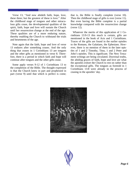Verse 13, "And now abideth faith, hope, love, these three; but the greatest of these is love." After the childhood stage of tongues and other miraculous gifts cease, the developmental qualities of the spirit, faith, hope and love will sustain the Church until her resurrection change at the end of the age. These qualities are of a more enduring nature, thereby enabling the Church to withstand the trials and besetments of the age.

Note again that the faith, hope and love of verse 13 endures after something ceases. And the only thing that ceases in 1 Corinthians 13 are tongues and the other gifts as mentioned in verse 8. Therefore, there is a period in which faith and hope will continue after tongues and the other gifts cease.

Some apply verses 9-12 of 1 Corinthians 13 to the completion of the Bible. The thought expressed is that the Church knew in part and prophesied in part (verse 9) until that which is perfect is come; that is, the Bible is finally complete (verse 10). Then the childhood stage of gifts is over (verse 11). But even having the Bible complete is a partial knowledge compared with the resurrection change (verse 12).

Whatever the merits of this application of 1 Corinthians 13:9-13 this much is certain, gifts are mentioned in the book of Acts and 1 Corinthians. Traces of the gifts are found in the earlier epistles to the Romans, the Galatians, the Ephesians. However, there is no mention of them in the later epistles of 1 and 2 Timothy, Titus, 1 and 2 Peter and John's epistles. This is significant. The New Testament writings are being circulated. Doctrinal truths, the abiding graces of faith, hope and love are what the apostles exhort the Church to rest on rather than the exceptional gifts. The tongues as foretold in 1 Corinthians 13:8 were already in the process of ceasing in the apostles' day.



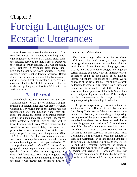### Chapter 3 Foreign Languages or Ecstatic Utterances

Most glossolatists agree that the tongue-speaking recorded in Acts 2:6-11 refers to speaking in foreign languages as verses 8-11 clearly state. When the disciples received the holy Spirit at Pentecost, they spoke in foreign tongues. What was the result? Jews, gathered in Jerusalem from many lands, heard the Gospel in their own languages. Tonguesspeaking today is not in foreign languages. Rather it takes the form of exstatic unintelligible utterances and it is claimed that the speaking in tongues discussed in chapters 12-14 of 1 Corinthians refers not to the foreign languages of Acts 2:6-11, but to ecstatic utterances.

#### **Babel Reversed**

Unintelligible ecstatic utterances miss the basic Scriptural logic for the gift of tongues. Tonguesspeaking in foreign languages was Bable reversed. Genesis 11:1-9 reveals that as the human race was repopulating after the Noahian flood, they still spoke one language. Instead of migrating throughout the earth, mankind alienated from God, concentrated together to build the city of Babel with its tower to reach unto heaven. What a monument this would be to man's united ability. But from God's perspective it was a monument of sinful man's unity to perform every evil imagination. (Gen. 11:5; Rom. 1:21) For their won eternal welfare it was better that they be scattered abroad to minimize the leavening effect of sin upon each other. To accomplish this, God "confound[ed] their [one] language, that they may not understand one another's speech." (Gen.11:7) This was the beginning of diversified languages. Becoming foreigners to each other resulted in their migrating throughout the earth. It was detrimental for man to dwell together in his sinful condition.

The picture changed when Jesus died to redeem sinful man. This good news (the word Gospel means good news) was now ready to be proclaimed to all the world. But there was a language barrier. God by the gift of tongues bridged the language barrier invoked at Babel. Now this message of reconciliation could be proclaimed to all nations. Faithful Christians evangelized the Roman World by means of the gift of tongues, the ability to speak in foreign languages, until there was a sufficient number of Christians to conduct this witness by less miraculous operations of the holy Spirit. This whole scriptural logic of Babel, and Babel bridged for the proclamation of the Gospel, is lost if tongues-speaking is unintelligible syllables.

If the gift of tongues today is ecstatic utterances, what a waste. For as Harold Lindsell observed in a Christianity Today article, "there is no known case in which a missionary received the gift of speaking the language of the group he sought to reach. Missionaries have always had to learn to speak the required languages the hard way." It would seem logical that the gift of tongues in Acts 2:6-11 and 1 Corinthians 12-14 were the same. However, we are not left to humans reasoning in this matter. First Corinthians 14:21 provides a proof that tongues as used in 1 Corinthians 14 means foreign languages as in Acts 2:6-11. Indeed 1 Corinthians 14:21 refers to and Old Testament prophecy on tonguesspeaking that was fulfilled in Acts 2:6-11. In connection with saying in 1 Corinthians 14:22 that "tongues are a sign not to them that believe but to them that believe not," Paul says in verse 21,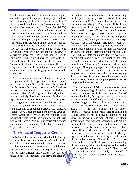"In the law it is written, With men of other tongues and other lips will I speak to this people; and yet for all that they will not hear me, saith the Lord." From where in the Law or Old Testament was Paul quoting? Paul was quoting from Isaiah 28:11(RSV) reads, "By men of strange lips and alien tongue the Lord will speak to this people…yet they would not hear." When were the Jews to be spoken to in an alien or foreign tongue? Isaiah 28:14 states, "Therefore hear the word of the Lord ye scornful men that rule this people which is in Jerusalem." The day of Pentecost in Acts 2:6-11 is the only Scripturally recorded time that unbelieving Jews in Jerusalem heard the Gospel preached in foreign languages. Thus, 1 Corinthians 14:21 and Acts 2:6- 11 both refer to the same incident. Both use "tongues" to denote foreign languages. Therefore tongues as used in 1 Corinthians, chapters 12-14 are a reference to foreign languages and not ecstatic utterances.

As is so often the case in problems of Scriptural interpretation, the Lord provides the key of interpretation within the Scriptural context. Isaiah 28:11 and 14, Acts 2:6-11 and 1 Corinthians 14:21 all refer to the same event and provide the Scriptural proof that the gift of tongues in the early Church was exclusively foreign languages. Further, the Apostle Paul uses 1 Corinthians 14:21-22 to prove that tongues are a sign for unbelievers because tongues as quoted from Isaiah 28:11 and 14 was to be a great sign to unbelieving Israel. How effective a sign was it? Three thousand unbelieving Jews accepted Christ as a result. Indeed tongues were Scripturally intended to be a sign not to believers but to unbelievers. And yet our charismatic friends use tongues as a sign among Christians to denote a "Spirit-filled Christian."

#### **The Abuse of Tongues at Corinth**

It is helpful to understand why Paul had to go into this discussion on tongues in 1 Corinthians 14. Corinth was the commercial center of Greece. Much of the commerce between Rome and the East passed through its harbors. Consequently it was a city of many different nationalities. The gift of tongues (foreign languages) was prevalent among

the brethren of Corinth to assist them in witnessing the Gospel to so many diverse nationalities. First Corinthians 14:19-20 reveals that the brethren at Corinth abused the gift. They were childish in the use of tongues. Like little children with a new toy, they wanted to show off. At their Church Services they exhorted in tongues (verse 23) and they prayed in tongues (verses 14-16) without any interpretation. This edified none (verse 5). Hence Paul's reprimand, "Yet in the church I had rather speak five words with my understanding, that by my voice I might teach others also, than ten thousand words in an unknown tongue. Brethren, be not children…"(1 Cor. 14:19-20 Note the phrase "that by my voice I might teach others ALSO." This implies that when he spoke in an understanding language he taught himself and "others also." Conversely, if he spoke in tongues (foreign languages) he just taught himself. The thought of that even when speaking in tongues he comprehended what he was saying. This, of course, is not the case with ecstatic utterances of today where the tongues-speaker does not comprehend what he is saying.

First Corinthians 14:9-11 provides another proof that Paul is speaking of foreign languages and not ecstatic utterances. In dealing with the problem of tongues Paul said, "except ye utter by the tongue words [rational sounds] easy to be understood [a common language], how shall it be known what is spoken? For ye shall speak into the air [in vain]. There are, it may be, so many kinds of voices [articulate speech] in the world, [notice Paul is not talking about so called 'heavenly languages' but voices in the world] and none of them is without signification [each national language has its distinct meaning]. Therefore if I know not the meaning of the voice, I shall be unto him that speaketh a barbarian [foreigner] unto me." The Greek word means foreigner, not barbarian. Paul is clearly saying that an unknown voice or tongue would sound like a foreign language. Novice the RSV of 1 Corinthians 14:11, "But if I do not know the meaning of the language, I shall be a foreigner to the speaker and the speaker a foreigner to me." The logic of 1 Corinthians 14:9-11 is only meaningful if tongues are foreign languages and not ecstatic utterances.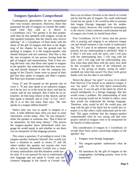#### **Tongues-Speakers Comprehend**

Contemporary glossolalists do not comprehend their won ecstatic utterances. However, those that possessed the gift of tongues at Corinth did understand what they said as is shown in 1 Corinthians 14:5, "for greater is he that prophesieth than he that speaketh with tongues, except he [the speaker] interpret, that the church may receive edifying." In 1 Corinthians 14 Paul deals with the abuse of the gift of tongues and here at the beginning of the chapter he lays the ground rule for peaking in tongues. It is the tongues-speaker who should interpret and not someone. Else Nor is this the rare exception of one person having both the gift of tongues and interpretation. Paul is here setting the basic rule, that those who spoke in tongues in the apostles' day understood what they were saying and should interpret it into the common language of the Church. Some were so proud of their gift that they spoke in tongues and didn't explain. But Paul says translate yourself.

Verse 27 and 28 expand on the ground rule of verse 5. "If any man speak in an unknown tongue, let it be by two, or at the most by three, and that by course; and let one interpret. But if there be no interpreter, let him keep silence in the church; and let him speak to himself, and to God." (I Cor. 14:27- 28) It is in this last sense Paul says, "He who speaks in a tongue edifies himself."

Notice only one was to speak in tongues at a time. A little different than what you hear in some charismatic circles today. Also "let one interpret," either the speaker or someone else. "But if there be no interpreter, let him keep silence." This proves the tongues-speaker knew beforehand what language he would speak in and whether or not there was an interpreter of that language present.

This raises a question. If according to verse 5 the tongues-speaker interprets himself, how would you have a situation as stated in verses 27 and 28, where neither the speaker nor anyone else were able to interpret. Remember Corinth was a center of many nationalities and this situation could easily arise. It is not unusual for one to understand a new language and not speak it. Greek was the common language in the church at Corinth. Say

there was an Italian Christian in the church at Corinth and he had the gift of tongues. He could understand Greek but not speak it. He would be able to translate that tongue (foreign language) into his mother tongue, Italian. However, that would be meaningless to the church. Unless someone could translate his gift of tongues into Greek, he should keep silent.

First Corinthians 14:14-17 shows that the person who is praying and singing in an unknown tongue can and should interpret it into words of understanding. "For if I pray in an unknown tongue, my spirit prayeth, but my understanding is unfriutful. What is it then? I will pray with the spirit, and I will pray with the understanding also: I will sing with the spirit, and I will sing with the understanding also. Else when thou shalt bless with the spirit, how shall he that occupieth the room of the unlearned say Amen at thy giving of thanks, seeing he unde rstandeth not what thou sayest? For thou verily givest thanks well, but the other is not edified."

Notice the phrase "my spirit" in verse 14 in which Paul observes if he prayed in an unknown tongue, it was "my spirit" - not the holy Spirit mechanically taking over. It was his gift of the Spirit by which he prayed intelligently in a foreign language. But this would create a problem. His understanding of what he was praying would not be fruitful to others, since they would not understand the foreign language. Therefore, what would he do? He would pray and sing with the gift of the Spirit but he would also interpret it so that others could understand and be edified. This again confirms that the tongues-speaker comprehended what he was saying and that even prayers uttered in tongues were to be interpreted for the benefit of others present.

This consideration of tongues in 1 Corinthians 14 reveals three basic points concerning tongues in the apostles' day.

- 1. Tongues were foreign languages.
- 2. The tongues-speaker understood what he said.
- 3. All utterances by the gift of tongues in the congregation, including prayers, were to be interpreted.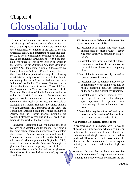### Chapter 4 Glossolalia Today

If the gift of tongues was not ecstatic utterances and if the gift of tongues ceased shortly after the death of the Apostles, then how do we account for the phenomenon of tongues in the form of ecstatic utterances today? It is interesting to note that glossolalia is not a phenomenon confined to Christianity. Pagan religions throughout the world are frenzied with tongues. This is reflected in an article in the *Journal of the American Scientific Affiliation* entitled "An Ethnological Study of Glossolalia" by George J. Jennings, March 1968. Jennings observes that glossolalia is practiced amoung the following non-Christian religions of the world; the Peyote cult among the North American Indians, the Haida Indians of the Pacific Northwest, Shamans in the Sudan, the Shango cult of the West Coast of Africa, the Shago cult in Trinidad, the Voodoo cult in Haiti, the Aborigines of South American and Australia, the aboriginal peoples of the subarctic regions of North America and Asia, the Shamans in Greenland, the Dyaks of Borneo, the Zor cult of Ethiopia, the Siberian shamans, the Chaco Indians of South America, the Curanderos of the Andes, the Kinka in the African Sudan, the Thonga shamans of Africa, and the Tibetan monks. Certainly we wouldn't attribute Glossolalia in these heathen religions to the work of the holy Spirit.

Behavioral Scientists have conducted extensive research on glossolalia and for the most part concur that supernatural forces are not necessary to explain its existence. This is shown in an article entitled "Behavioral Science Research on the Nature of Glossolalia" which appears in the September, 1968, issue of the *Journal of the American Scientific Affiliation*. This article is perhaps one of the most comprehensive scientific discussions on glossolalia and some of its conclusions are briefly quoted as follows:

#### **VI. Summary of Behavioral Science Research Data on Glossolalia**

- 1.Glossolalia is an ancient and widespread phenomenon of most societies, occurring most usually in connection with religion.
- 2.Glossolalia may occur as part of a larger condition of hysterical, dissociative, or trance states, or it may occur completely alone.
- 3.Glossolalia is not necessarily related to specific personality types.
- 4.Glossolalia may be deviant behavior due to abnormality of the mind, or it may be normal expected behavior, depending on the social and cultural environment.
- 5.Glossolalia is a form of partially developed speech in which the thoughtspeech apparatus of the person is used for a variety of internal mental functions.
- 6.Glossolalia may be a form of healthy regression in the service of the ego, leading to more creative modes of life.

#### **VII. Possible Theological Implications**

In my discussion in this paper, there is a wealth of reasonable information which gives us an outline of the mental, social, and cultural contexts within which glossolalia can be, and is, produced. Thus we need not invoke either divine or devilish supernatural forces to explain or justify the existence and function of glossolalia.

However, the fact that we have a reasonable scientific framework for explaining and understanding this behavior does not necessarily un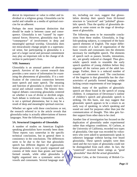dercut its importance or value to either and individual or a religious group. Glossolalia can be useful and valuable as a media of spiritual exercise for an adherent.

Perhaps the most important distinction that should be made is between cause and consequence. Glossolalia is not "caused" by supernatural forces. However, glossolalia may be a "consequence" of involvement in deep and meaningful spiritual worship. Glossolalia does not miraculously change people in a supernatural sense, but participating in glossolalia is a part of a larger social and personal commitment may play an important role in the change of direction in participant's lives.

#### **VIII. Summary**

Glossolalia is an unusual pattern of aberrant speech. Areview of the current research data provides a new source of information for examining the phenomena of glossolalia. If is a notification of the conscious connection between inner speech and outer speech. The meaning and function of glossolalia is closely tied to its social and cultural context. The historic theological debates concerning glossolalia centered on whether it was of divine or devilish origin. Such debate is irrelevant. Glossolalia, as such, is not a spiritual phenomena, but is may be a result of deep and meaningful spiritual exercise.

Whether we agree with these conclusions or not, the research referred to in the article reveals that glossolalia today is actually abbreviations of known languages. Note the following quotations:

#### **5A. Structural Linguistics of Glossolalia**

A number of studies on American Englishspeaking glossolalists have recently been done. These reports vary somewhat in the specific technical conclusions, but in general there is consistency in the conclusions. The differences seem to be due to the fact that glossolalic speech has different degrees of organization. Some glossolalia is very poorly organized and consists of little more than grunts and barelyformed sounds, while other glossolalia is highly organized into a systematic series of vowels and consonants. Several language studies, including our own, suggest that glossolalists develop their speech from ill-formed structure to "practiced" and "polished" glossolalic speech. Thus the quality of glossolalia depends to some extent on the stage of development of glossolalia.

The following seem to be reasonable conclusions from these studies. Glossolalia, in English-speaking subjects, is composed of the basic speech elements of English. The major difference consists of a lack of organization of the basic vowels and consonants into the elements necessary for intelligible speech. The elements of speech such as pauses, breaths, intonations, etc., are greatly reduced or changed. Thus glossolalic speech tends to resemble the early speech qualities of young children before they organize all the various parts of the adult language. Further, there is a reduced number of vowels and consonants used. The conclusions of the linguists is that glossolalia has the characteristics of partially formed language, while lacking certain requirements of true language.

Indeed, many of the qualities of glossolalic speech are those found in the speech of young children. A comparison of Devereaux's outline of children's speech and glossolalic speech is striking. On this basis, one may suggest that glossolalic speech appears to be a return to an early way of speaking, in which speaking and sound are used for purposes other than just the communication of thought. This idea gets further support from other data to be cited.

Another line of investigation has focused on the duplication of glossolalia under experimental rather than religious conditions. Al Carlson, at the University of California, recorded two types of glossolalia. One type was recorded by volunteers who were asked to spontaneously speak in unknown language without having ever heard glossolalia. These speech samples were then rated and the two types of glossolalia could not be distinguished from each other. In fact, the "contrived" received better ratings as "good glossolalia" than did the actual glossolalia.

Werner Cohn, at the University of British Co-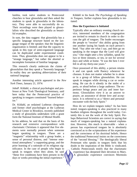lumbia, took naïve students to Pentecostal churches to hear glossolalia and then asked the students to speak in glossolalia in the laboratory. They were able to successfully do so. Their recordings were then played to glossolalists who described the glossolalia as beautiful examples.

In sum, the data suggest: that glossolalia has a specific language structure based on the language tongue of the speaker; that the linguistic organization is limited; and that the capacity to speak in this type of semi-organized language can be duplicated under experimental conditions. Thus, glossolalia does not appear to be a "strange language," but rather the aborted or incomplete formation of familiar language.

This research clearly undercuts the claims of glossolalists that they speak a "heavenly language." In reality they are speaking abbreviations of their national language.

Another interesting article appeared in the *New York Times,* January 21, 1974:

JohnP. Kildahl, a clinical psychologist and professor at New York Theological Seminary, said here today that the Pentecostal practice of speaking in tongues constituted "learned behavior."

Dr. Kildahl, an ordained Lutheran clergyman and former chief psychologist at the Lutheran Medical Center in Brooklyn, recently published a study of glossolalia undertaken with a grant form the National Institute of Mental Health.

In his address, he said that on the basis of his research and extensive correspondence with charismatic Christians it appeared that five elements were normally present when someone began speaking in tongues. These are a "magnetic" relationship with a group leader, a sense of personal distress, and "intense emotional atmosphere," a supporting group, and the prior learning of a rationale of its religious significance. In the case of people who begin to speak in tongues when they alone, he said "these five conditions have been present in the days or weeks preceding the initial experience."

Kildahl in his book *The Psychology of Speaking in Tongues,* further explains how glossolalia is initiated:

#### **How the Experience is Initiated**

Typically after an ordinary evening church service, interested members of the congregation are invited to remain in church in order to discuss the gift of tongues. The leader encourages the people to "receive" this ability going from one another laying his hands on each person's head. "Say after me what I say, and then go on speaking in the tongue that the Lord will give you." One might utter a few syllables, speak for two or three minutes, or ten, or not for several days and while at home. "It was the best I ever felt in all my thirty-one years."

Once possessed of this ability, a person retains it and can speak with fluency whenever he chooses. It does not matter whether he is alone or in a group of fellow glossolalists. He can speak in tongues while driving a car or swimming. He can do it silently in the midst of a party, or aloud before a large audience. The experience brings peace and joy and inner harmony. Glossolalists view it as an answer to prayer, an assurance of divine love and acceptance. It is referred to as a "direct and personal encounter with the holy Spirit."

How do we explain tongues today? As has been noted, tongues-speaking is also practiced in many heathen religions throughout the world today. Certainly this is not the work of the holy Spirit. Perhaps Behavioral Scientists are correct in saying that much of tongues-speaking has a natural explanation. However, this much is observable - when a person has experienced tongues he is absolutely convinced as to the scripturalness of his experience and the correctness of his doctrinal beliefs. Hence the traditional Pentecostal insists on the correctness of the "second blessing." The theologically liberal Protestant who speaks in tongues feels that his doubt in the inspiration of the Bible is vindicated. Catholic Pentecostals testify that the charismatic experience has deepened their devotion to Mary. A glossolalic experience convinces Mormons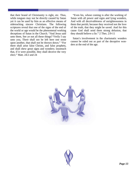that their brand of Christianity is right, etc. Thus, while tongues may not be directly caused by Satan yet it can be used by him as an effective means of sidetracking sincere Christians. The following scriptures reveal that one of the signs of the end of the world or age would be the phenomenal working deceptions of Satan in the Church. "And Jesus said unto them, See ye not all these things? Verily I say unto you, There shall not be left here one stone upon another, that shall not be thrown down." "For there shall arise false Christs, and false prophets, and shall shew great signs and wonders; insomuch that, if it were possible, they shall deceive the very elect." Matt. 24:2 and 24

"Even his, whose coming is after the working of Satan with all power and signs and lying wonders, And with all deceivableness of unrighteousness in them that perish; because they received not the love of the truth, that they might be saved. And for this cause God shall send them strong delusion, that they should believe a lie." 2 Thes. 2:9-11

Satan's involvement in the charismatic wonders cannot be ruled out as part of the deceptive wonders at the end of the age.



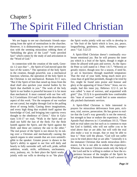#### Chapter 5

## The Spirit Filled Christian

We are happy to see our charismatic friends separating from the spirit of nominalism in the churches. However, it is disheartening to see their preoccupation with the seeming miraculous robbing them of "beholding the glory of the Lord" "with unveiled face" which comes by the study of and articulation in the "Word of God."

In connection with the creation of the earth, Genesis 1:2 says that "…the Spirit of God moved upon the face of the waters." The operation of the holy Spirit in the creation, though powerful, was a mechanical function; whereas, the operation of the holy Spirit in the Christian is not mechanical. Romans 8:11 says, "But if the Spirit of him that raised up Jesus from the dead shall also quicken your mortal bodies by his Spirit that dwelleth in you." The work of the holy Spirit in our bodies is powerful because it is far more than mechanical. It must contend with our free will. In 2 Corinthians 10:4 and 5 the Apostle describes one aspect of this work. "For the weapons of our warfare are not carnal, but mighty through God to the pulling down of strong holds; Casting down imaginations, and every high thing that exalteth itself against the knowledge of God, and bringing into captivity every thought to the obedience of Christ." Also in Gal atians 5:16-17 we read, "Walk in the Spirit and ye shall not fulfil the lust of the flesh. For the flesh lusteth against the Spirit, and the Spirit against the flesh: and these are contrary the one to the other." The real power of the Spirit is not shown by its taking over a Christian and mechanically causing the speech organs to utter sounds that are even unintelligible to the speaker. Greater power is shown in the Spirit's ability to appeal to our free will daily and hourly to fully surrender self, self-will, pride, selfish ambition, wrath, strife, selfishness, uncleanness, envy, jealousy, etc. In their place the Spirit works jointly with our wills to develop in us "the place

the Spirit works jointly with our wills to develop in us "the fruit of the Spirit which is love, joy, peace, longsuffering, gentleness, faith, meekness, temperance." Gal. 5:22-23

A Spirit-filled Christian doesn't continually exuberate emotional joy. But he will possess the inner joy which is a fruit of the Spirit, though it might at times be alloyed with pain and sorrow. As the Apostle Peter so well stated in 1 Peter 1:6-7, "Wherein ye greatly rejoice, though now for a season, if need be, ye are in heaviness through manifold temptation: That the trial of your faith, being much more precious than of gold that perisheth, though it be tried by fire, might be found unto praise and honour and glory at the appearing of Jesus Christ." Jesus, our example, had this inner joy, Hebrews 12:2-3, yet he was called "a man of sorrows, and acquainted with grief." (Isa. 53:3) It is questionable how comfortable this "man of sorrows" would feel in some emotionally pitched charismatic services.

A Spirit-filled Christian is little interested in prayers for miraculous deliverance from pain, sickness, trial, sorrow, persecution. He has grown to realize that the Lord's way generally is not the removal, but strength to bear or endure the experience. As the Apostle Paul observes in 1 Corinthians 10:13, "There hath no trial taken you but such as is common to man but God is faithful, who will not suffer you to be tried above that ye are able; but will with the trial also make a way to escape, that ye may be able to bear it." Note well the phrase, "God will not suffer you to be tried above that ye are able." Generally it is the immature Christian that needs miraculous deliverance, for he is not able to endure the experience. Whereas, the mature Christian needs only the help of the Lord and he is willing to endure or bear the experience because of the insights of the Spirit he will glean from it. Remember the Lord's answer to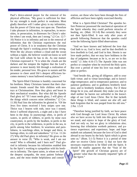Paul's thrice-uttered prayer for the removal of his physical affliction, "My grace is sufficient for thee: for my strength is made perfect in weakness. Most gladly therefore will I rather glory in my infirmities, that the power of Christ may rest upon me. Therefore I take pleasure in infirmities, in reproaches, in necessities, in persecution, in distresses for Christ's sake: for when I am weak, then am I strong." (2 Cor. 12:7- 10) Notice it is in infirmity and not in the removal of infirmities that the Christian experiences the real power of Christ. It is in weakness that the Christian through the Spirit's working power becomes strong. Were the sky always without a cloud and the ocean without a ripple, the believer would not know so well the God with whom he has to do. As one mature Christian expressed it: "It is when the clouds are the darkest and the tempest the highest that the Lord's presence is most keenly felt through a realization of his tender, personal love. His grace to sustain and his presence to cheer amid life's deepest afflictions becomes memory's most hallowed resting places."

The Spirit-filled Christian is humbly concerned for his brethren. Many Christians lament that their charismatic friends sound like little children with new toys at Christmastime. How they glory and boast in their mechanical wonders. But what did the Apostle Paul glory in? "If I must needs glory, I will glory of the things which concern mine infirmities." (2 Cor. 11:30) Paul lists the infirmities he gloried in. "Of the Jews five times received I forty stripes save one. Thrice was I beaten with rods, once was I stoned, thrice I suffered shipwreck, a night and a day I have been in the deep; In journeyings often, in perils of waters, in perils of robbers, in perils by mine own countrymen, in perils by the heathen, in perils in the city, in perils in the wilderness, in perils in the sea, in perils among false brethren; In weariness and painfulness, in watchings often, in hunger and thirst, in fastings often, in cold and nakedness." (2 Cor. 11:24- 27) Why did Paul glory in infirmity? He gives us the answer in verse 29, "Who is weak, and I am not weak? Who is offended, and I burn not?" Paul gloried in infirmity because his infirmities enabled him by the Spirit's working to sympathize with his brethren in infirmity. The ripest saints, in whom we find the deepest sympathy, the most patient forbearance, and the most tender helpfulness and consideration, are those who have been through the fires of affliction and have been rightly exercised thereby.

What is a Spirit-filled Christian? The apostles before Pentecost possessed the mechanical operation of the Spirit whereby they could perform miracles of healing, etc. (Matt. 10:1-8) But certainly they were not then Spirit-filled. It was only after years of growth following Pentecost that the apostles could write the following Spirit-filled observations:

"And we have known and believed the love that God hath to us, God is love; and he that dwelleth in love dwelleth in God, and God in him. Herein is our love made perfect, that we may have boldness in the day of judgment: because as he is, so are we in this world." (1 John 4:16-17) The Apostle John was not perfect or complete when he received the Holy spirit. But over a period of time his love was made complete or perfect.

"And beside this, giving all diligence, add to your faith virtue; and to virtue knowledge; and to knowledge temperance; and to temperance patience; and to patience godliness; and to godliness brotherly kindness; and to brotherly kindness charity. For if these things be in you, and abound, they make you that ye shall neither be barren nor unfruitful in the knowledge of our Lord Jesus Christ. But hi that lacketh these things is blind, and cannot see afar off, and hath forgotten that he was purged from his old sins." 2 Pet. 1:5-9

"Therefore being justified by faith, we have peace with God through our Lord Jesus Christ: By whom also we have access by faith into this grace wherein we stand, and rejoice in hope of the glory of God. And not only so, but we glory in tribulations also; knowing that tribulation worketh patience; and patience experience; and experience, hope: and hope maketh not ashamed; because the love of God is shed abroad in our hearts by the holy Spirit which is given unto us." (Rom. 5:1-5) Notice it is a period of time after we receive Christ (verse 1) that we have the necessary experiences to be filled with the Spirit. It should be readily apparent that the "fruit of the Spirit" (the growth of Christian graces) are of greater value than the instantly imparted "gifts of the Spirit."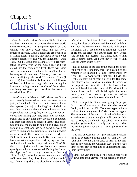### Chapter 6 Christ's Kingdom

One idea is clear throughout the Bible: God has not been attempting to convert the whole world since resurrection. The Scriptures speak of God dealing with only a Jesus' death and few for a specifice purpose. Christ's followers are spoken of as a little flock. "Fear not, little flock; for it is your Father's pleasure to give you the kingdom." (Luke 12:32) God is good only calling a few; a representative of every type of the human race is being called into the church of Christ. These will share with Christ when he establishes his kingdom for the blessing of all Paul says, "Know ye not that the saints shall judge the world?" mankind. Thus (1 Cor. 6:2) The Revelator discloses that the followers of Jesus will live and reign with him during his kingdom, during that the benefits of Jesus' death are being bestowed upon the time the world of mankind. Rev. 20:4

Jesus' words in Mark 4:11-12, show that God is not presently interested in converting even the majority of mankind. "Unto you it is given to know the mystery [secret] of the kingdom of God, but unto them that are without all these things are done in parables: that seeing they may see, and not perceive; and hearing they may hear, and not understand; lest at any time they should be converted, and their sins should be forgiven them." This scripture might seem strange to some, but it gives us an insight into what God has been doing between the death of Jesus and his return to set up his kingdom upon the earth. Have you ever wondered why the Bible is difficult to understand? By divine intent it has been written in parables, dark sayings, symbols, so that it would not be easily understood. Why? So that the majority would not bother and consequently would not be converted. During the Christian Age, the Lord is only converting a few, a "little flock," "who by patient continuance in well doing seek for, glory, honor, and immortality." (Rom. 2:7) These are elsewhere symbolically

referred to as the bride of Christ. After Christ returns, this class of believers will be united with him and then the conversion of the world will begin. Revelation 22:17 prophesied of that time: "And the Spirit and the bride [the church class] say, Come. And let him that heareth say, Come. And let him that is athirst come. And whosoever will, let him take the water of life freely."

This sequence of the call of the church, the establishment of the kingdom, then the blessing of the remainder of mankind is also corroborated by Acts 15:14-17. "God for the first time did visit the Gentiles to take out of them a people for His name [the church class]. And to this agree the words of the prophets; as it is written, after this I will return and will build that tabernacle of David which is fallen down; and I will build again the ruins thereof, and I will set it up: that the residue [remainder] of men might seek after the Lord..."

Note these points: First a small group, "a people for His name" are selected. Then the tabernacle of David, which was an Old Testament type or illustration of the Kingdom of Christ, is set up again. The restoration of the nation of Israel in Palestine is an indication that the Kingdom will soon be fully set up. Why is the church first called? Why is the kingdom (tabernacle of David) then set up? "That the residue [all that remain] of men might seek after the Lord."

It is said of Jesus that he "gave Himself a ransom for all to be testified in due time." (1 Tim. 2:6) The "due time" for the church class to learn of the ransom is now during the Christian Age, but the "due time" for the rest of mankind to understand the ransom is yet future.

Since the vast majority of the human race went down into their graves without hearing or under